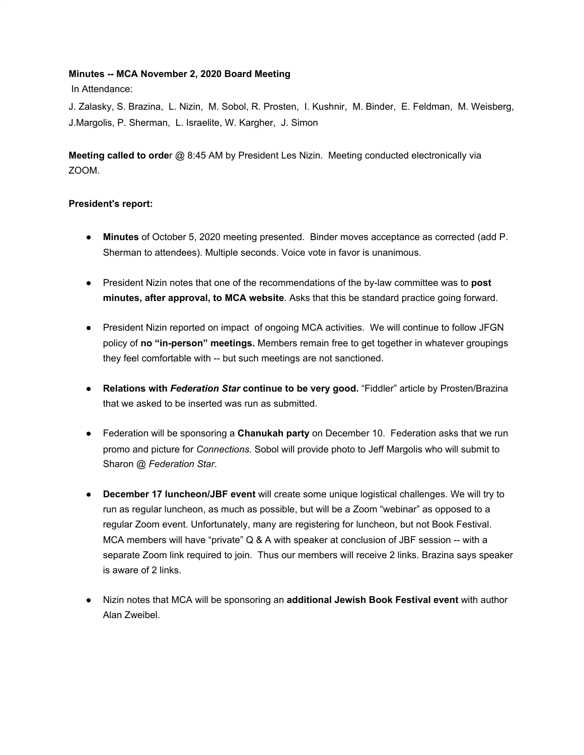#### **Minutes -- MCA November 2, 2020 Board Meeting**

In Attendance:

J. Zalasky, S. Brazina, L. Nizin, M. Sobol, R. Prosten, I. Kushnir, M. Binder, E. Feldman, M. Weisberg, J.Margolis, P. Sherman, L. Israelite, W. Kargher, J. Simon

**Meeting called to orde**r @ 8:45 AM by President Les Nizin. Meeting conducted electronically via ZOOM.

#### **President's report:**

- **Minutes** of October 5, 2020 meeting presented. Binder moves acceptance as corrected (add P. Sherman to attendees). Multiple seconds. Voice vote in favor is unanimous.
- President Nizin notes that one of the recommendations of the by-law committee was to **post minutes, after approval, to MCA website**. Asks that this be standard practice going forward.
- President Nizin reported on impact of ongoing MCA activities. We will continue to follow JFGN policy of **no "in-person" meetings.** Members remain free to get together in whatever groupings they feel comfortable with -- but such meetings are not sanctioned.
- **Relations with** *Federation Star* **continue to be very good.** "Fiddler" article by Prosten/Brazina that we asked to be inserted was run as submitted.
- Federation will be sponsoring a **Chanukah party** on December 10. Federation asks that we run promo and picture for *Connections*. Sobol will provide photo to Jeff Margolis who will submit to Sharon @ *Federation Star*.
- **December 17 luncheon/JBF event** will create some unique logistical challenges. We will try to run as regular luncheon, as much as possible, but will be a Zoom "webinar" as opposed to a regular Zoom event. Unfortunately, many are registering for luncheon, but not Book Festival. MCA members will have "private" Q & A with speaker at conclusion of JBF session -- with a separate Zoom link required to join. Thus our members will receive 2 links. Brazina says speaker is aware of 2 links.
- Nizin notes that MCA will be sponsoring an **additional Jewish Book Festival event** with author Alan Zweibel.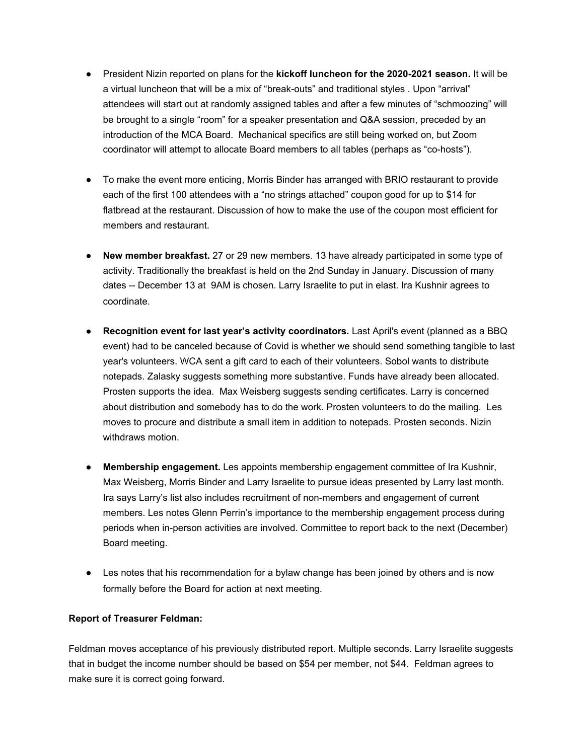- President Nizin reported on plans for the **kickoff luncheon for the 2020-2021 season.** It will be a virtual luncheon that will be a mix of "break-outs" and traditional styles . Upon "arrival" attendees will start out at randomly assigned tables and after a few minutes of "schmoozing" will be brought to a single "room" for a speaker presentation and Q&A session, preceded by an introduction of the MCA Board. Mechanical specifics are still being worked on, but Zoom coordinator will attempt to allocate Board members to all tables (perhaps as "co-hosts").
- To make the event more enticing, Morris Binder has arranged with BRIO restaurant to provide each of the first 100 attendees with a "no strings attached" coupon good for up to \$14 for flatbread at the restaurant. Discussion of how to make the use of the coupon most efficient for members and restaurant.
- **● New member breakfast.** 27 or 29 new members. 13 have already participated in some type of activity. Traditionally the breakfast is held on the 2nd Sunday in January. Discussion of many dates -- December 13 at 9AM is chosen. Larry Israelite to put in elast. Ira Kushnir agrees to coordinate.
- **● Recognition event for last year's activity coordinators.** Last April's event (planned as a BBQ event) had to be canceled because of Covid is whether we should send something tangible to last year's volunteers. WCA sent a gift card to each of their volunteers. Sobol wants to distribute notepads. Zalasky suggests something more substantive. Funds have already been allocated. Prosten supports the idea. Max Weisberg suggests sending certificates. Larry is concerned about distribution and somebody has to do the work. Prosten volunteers to do the mailing. Les moves to procure and distribute a small item in addition to notepads. Prosten seconds. Nizin withdraws motion.
- **● Membership engagement.** Les appoints membership engagement committee of Ira Kushnir, Max Weisberg, Morris Binder and Larry Israelite to pursue ideas presented by Larry last month. Ira says Larry's list also includes recruitment of non-members and engagement of current members. Les notes Glenn Perrin's importance to the membership engagement process during periods when in-person activities are involved. Committee to report back to the next (December) Board meeting.
- Les notes that his recommendation for a bylaw change has been joined by others and is now formally before the Board for action at next meeting.

#### **Report of Treasurer Feldman:**

Feldman moves acceptance of his previously distributed report. Multiple seconds. Larry Israelite suggests that in budget the income number should be based on \$54 per member, not \$44. Feldman agrees to make sure it is correct going forward.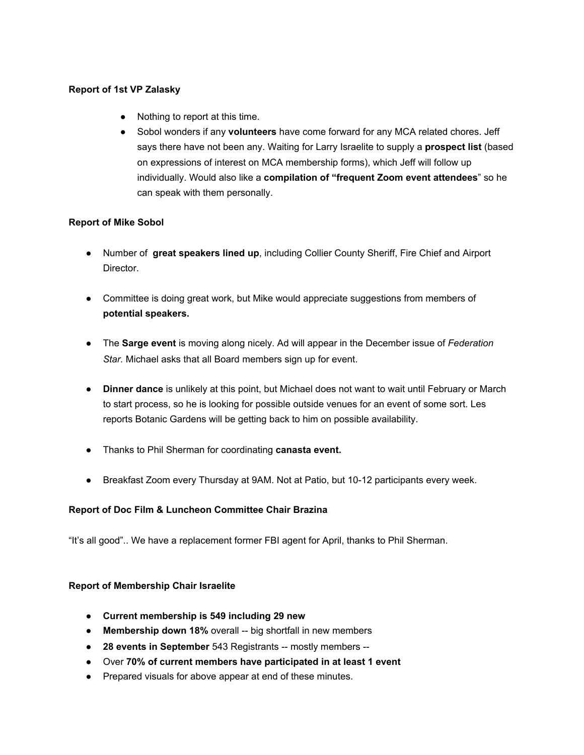#### **Report of 1st VP Zalasky**

- Nothing to report at this time.
- Sobol wonders if any **volunteers** have come forward for any MCA related chores. Jeff says there have not been any. Waiting for Larry Israelite to supply a **prospect list** (based on expressions of interest on MCA membership forms), which Jeff will follow up individually. Would also like a **compilation of "frequent Zoom event attendees**" so he can speak with them personally.

#### **Report of Mike Sobol**

- Number of **great speakers lined up**, including Collier County Sheriff, Fire Chief and Airport Director.
- Committee is doing great work, but Mike would appreciate suggestions from members of **potential speakers.**
- The **Sarge event** is moving along nicely. Ad will appear in the December issue of *Federation Star.* Michael asks that all Board members sign up for event.
- **Dinner dance** is unlikely at this point, but Michael does not want to wait until February or March to start process, so he is looking for possible outside venues for an event of some sort. Les reports Botanic Gardens will be getting back to him on possible availability.
- Thanks to Phil Sherman for coordinating **canasta event.**
- Breakfast Zoom every Thursday at 9AM. Not at Patio, but 10-12 participants every week.

#### **Report of Doc Film & Luncheon Committee Chair Brazina**

"It's all good".. We have a replacement former FBI agent for April, thanks to Phil Sherman.

#### **Report of Membership Chair Israelite**

- **● Current membership is 549 including 29 new**
- **Membership down 18%** overall -- big shortfall in new members
- **28 events in September** 543 Registrants -- mostly members --
- Over **70% of current members have participated in at least 1 event**
- Prepared visuals for above appear at end of these minutes.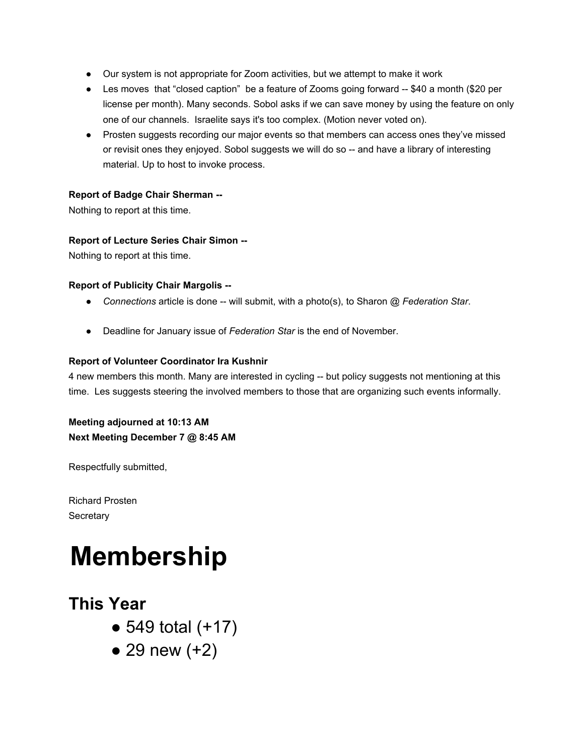- Our system is not appropriate for Zoom activities, but we attempt to make it work
- Les moves that "closed caption" be a feature of Zooms going forward -- \$40 a month (\$20 per license per month). Many seconds. Sobol asks if we can save money by using the feature on only one of our channels. Israelite says it's too complex. (Motion never voted on).
- Prosten suggests recording our major events so that members can access ones they've missed or revisit ones they enjoyed. Sobol suggests we will do so -- and have a library of interesting material. Up to host to invoke process.

#### **Report of Badge Chair Sherman --**

Nothing to report at this time.

#### **Report of Lecture Series Chair Simon --**

Nothing to report at this time.

#### **Report of Publicity Chair Margolis --**

- *Connections* article is done -- will submit, with a photo(s), to Sharon @ *Federation Star*.
- Deadline for January issue of *Federation Star* is the end of November.

#### **Report of Volunteer Coordinator Ira Kushnir**

4 new members this month. Many are interested in cycling -- but policy suggests not mentioning at this time. Les suggests steering the involved members to those that are organizing such events informally.

**Meeting adjourned at 10:13 AM Next Meeting December 7 @ 8:45 AM**

Respectfully submitted,

Richard Prosten **Secretary** 

## **Membership**

### **This Year**

- $\bullet$  549 total (+17)
- $\bullet$  29 new  $(+2)$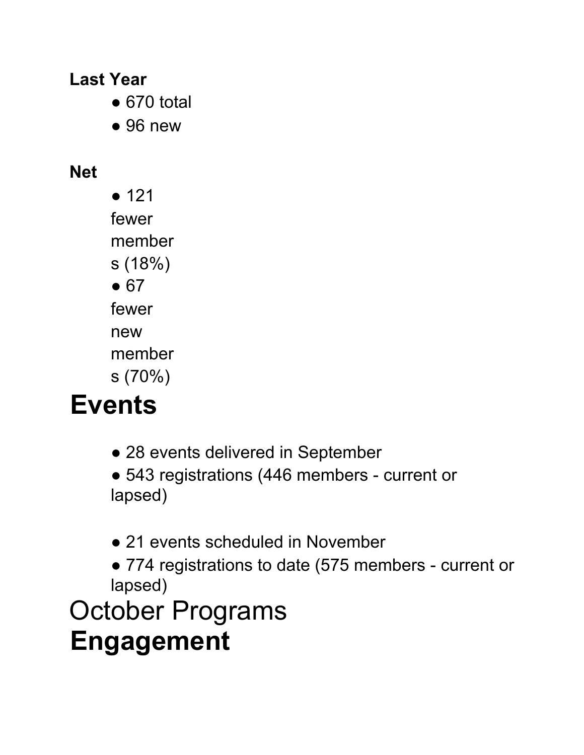**Last Year**

- $\bullet$  670 total
- $\bullet$  96 new

### **Net**

● 121 fewer member s (18%)  $• 67$ fewer new member s (70%)

# **Events**

- 28 events delivered in September
- 543 registrations (446 members current or lapsed)
- 21 events scheduled in November
- 774 registrations to date (575 members current or lapsed)

October Programs **Engagement**